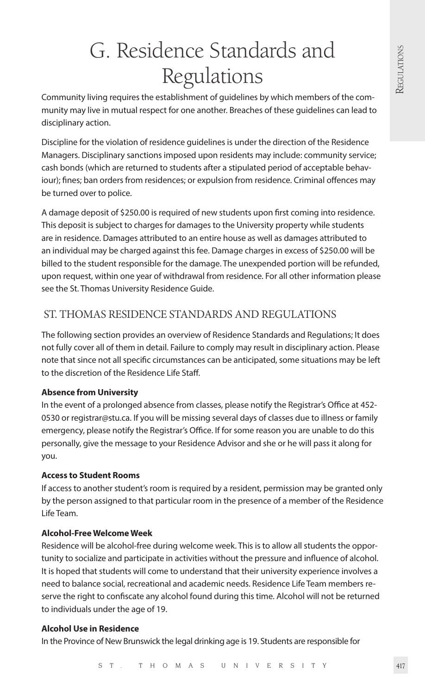# G. Residence Standards and Regulations

Community living requires the establishment of guidelines by which members of the community may live in mutual respect for one another. Breaches of these guidelines can lead to disciplinary action.

Discipline for the violation of residence guidelines is under the direction of the Residence Managers. Disciplinary sanctions imposed upon residents may include: community service; cash bonds (which are returned to students after a stipulated period of acceptable behaviour); fines; ban orders from residences; or expulsion from residence. Criminal offences may be turned over to police.

A damage deposit of \$250.00 is required of new students upon first coming into residence. This deposit is subject to charges for damages to the University property while students are in residence. Damages attributed to an entire house as well as damages attributed to an individual may be charged against this fee. Damage charges in excess of \$250.00 will be billed to the student responsible for the damage. The unexpended portion will be refunded, upon request, within one year of withdrawal from residence. For all other information please see the St. Thomas University Residence Guide.

# ST. THOMAS RESIDENCE STANDARDS AND REGULATIONS

The following section provides an overview of Residence Standards and Regulations; It does not fully cover all of them in detail. Failure to comply may result in disciplinary action. Please note that since not all specific circumstances can be anticipated, some situations may be left to the discretion of the Residence Life Staff.

# **Absence from University**

In the event of a prolonged absence from classes, please notify the Registrar's Office at 452- 0530 or registrar@stu.ca. If you will be missing several days of classes due to illness or family emergency, please notify the Registrar's Office. If for some reason you are unable to do this personally, give the message to your Residence Advisor and she or he will pass it along for you.

# **Access to Student Rooms**

If access to another student's room is required by a resident, permission may be granted only by the person assigned to that particular room in the presence of a member of the Residence Life Team.

# **Alcohol-Free Welcome Week**

Residence will be alcohol-free during welcome week. This is to allow all students the opportunity to socialize and participate in activities without the pressure and influence of alcohol. It is hoped that students will come to understand that their university experience involves a need to balance social, recreational and academic needs. Residence Life Team members reserve the right to confiscate any alcohol found during this time. Alcohol will not be returned to individuals under the age of 19.

# **Alcohol Use in Residence**

In the Province of New Brunswick the legal drinking age is 19. Students are responsible for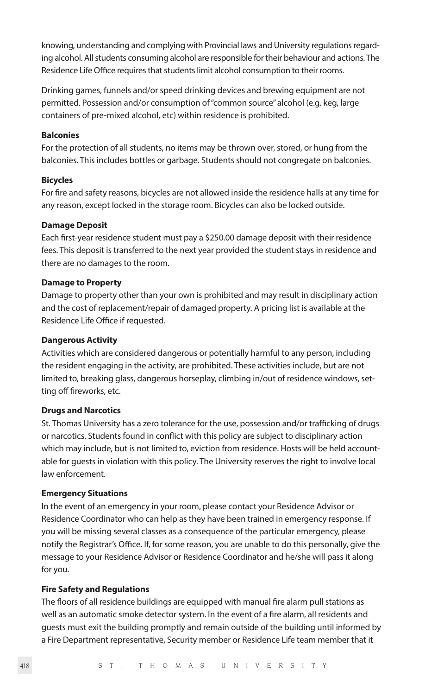knowing, understanding and complying with Provincial laws and University regulations regarding alcohol. All students consuming alcohol are responsible for their behaviour and actions. The Residence Life Office requires that students limit alcohol consumption to their rooms.

Drinking games, funnels and/or speed drinking devices and brewing equipment are not permitted. Possession and/or consumption of "common source" alcohol (e.g. keg, large containers of pre-mixed alcohol, etc) within residence is prohibited.

#### **Balconies**

For the protection of all students, no items may be thrown over, stored, or hung from the balconies. This includes bottles or garbage. Students should not congregate on balconies.

#### **Bicycles**

For fire and safety reasons, bicycles are not allowed inside the residence halls at any time for any reason, except locked in the storage room. Bicycles can also be locked outside.

#### **Damage Deposit**

Each first-year residence student must pay a \$250.00 damage deposit with their residence fees. This deposit is transferred to the next year provided the student stays in residence and there are no damages to the room.

#### **Damage to Property**

Damage to property other than your own is prohibited and may result in disciplinary action and the cost of replacement/repair of damaged property. A pricing list is available at the Residence Life Office if requested.

#### **Dangerous Activity**

Activities which are considered dangerous or potentially harmful to any person, including the resident engaging in the activity, are prohibited. These activities include, but are not limited to, breaking glass, dangerous horseplay, climbing in/out of residence windows, setting off fireworks, etc.

#### **Drugs and Narcotics**

St. Thomas University has a zero tolerance for the use, possession and/or trafficking of drugs or narcotics. Students found in conflict with this policy are subject to disciplinary action which may include, but is not limited to, eviction from residence. Hosts will be held accountable for guests in violation with this policy. The University reserves the right to involve local law enforcement.

#### **Emergency Situations**

In the event of an emergency in your room, please contact your Residence Advisor or Residence Coordinator who can help as they have been trained in emergency response. If you will be missing several classes as a consequence of the particular emergency, please notify the Registrar's Office. If, for some reason, you are unable to do this personally, give the message to your Residence Advisor or Residence Coordinator and he/she will pass it along for you.

#### **Fire Safety and Regulations**

The floors of all residence buildings are equipped with manual fire alarm pull stations as well as an automatic smoke detector system. In the event of a fire alarm, all residents and guests must exit the building promptly and remain outside of the building until informed by a Fire Department representative, Security member or Residence Life team member that it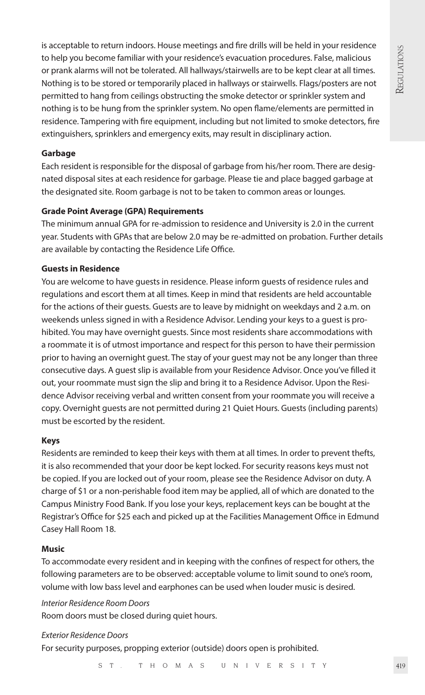is acceptable to return indoors. House meetings and fire drills will be held in your residence to help you become familiar with your residence's evacuation procedures. False, malicious or prank alarms will not be tolerated. All hallways/stairwells are to be kept clear at all times. Nothing is to be stored or temporarily placed in hallways or stairwells. Flags/posters are not permitted to hang from ceilings obstructing the smoke detector or sprinkler system and nothing is to be hung from the sprinkler system. No open flame/elements are permitted in residence. Tampering with fire equipment, including but not limited to smoke detectors, fire extinguishers, sprinklers and emergency exits, may result in disciplinary action.

# **Garbage**

Each resident is responsible for the disposal of garbage from his/her room. There are designated disposal sites at each residence for garbage. Please tie and place bagged garbage at the designated site. Room garbage is not to be taken to common areas or lounges.

# **Grade Point Average (GPA) Requirements**

The minimum annual GPA for re-admission to residence and University is 2.0 in the current year. Students with GPAs that are below 2.0 may be re-admitted on probation. Further details are available by contacting the Residence Life Office.

# **Guests in Residence**

You are welcome to have guests in residence. Please inform guests of residence rules and regulations and escort them at all times. Keep in mind that residents are held accountable for the actions of their guests. Guests are to leave by midnight on weekdays and 2 a.m. on weekends unless signed in with a Residence Advisor. Lending your keys to a guest is prohibited. You may have overnight guests. Since most residents share accommodations with a roommate it is of utmost importance and respect for this person to have their permission prior to having an overnight guest. The stay of your guest may not be any longer than three consecutive days. A guest slip is available from your Residence Advisor. Once you've filled it out, your roommate must sign the slip and bring it to a Residence Advisor. Upon the Residence Advisor receiving verbal and written consent from your roommate you will receive a copy. Overnight guests are not permitted during 21 Quiet Hours. Guests (including parents) must be escorted by the resident.

# **Keys**

Residents are reminded to keep their keys with them at all times. In order to prevent thefts, it is also recommended that your door be kept locked. For security reasons keys must not be copied. If you are locked out of your room, please see the Residence Advisor on duty. A charge of \$1 or a non-perishable food item may be applied, all of which are donated to the Campus Ministry Food Bank. If you lose your keys, replacement keys can be bought at the Registrar's Office for \$25 each and picked up at the Facilities Management Office in Edmund Casey Hall Room 18.

# **Music**

To accommodate every resident and in keeping with the confines of respect for others, the following parameters are to be observed: acceptable volume to limit sound to one's room, volume with low bass level and earphones can be used when louder music is desired.

*Interior Residence Room Doors*

Room doors must be closed during quiet hours.

*Exterior Residence Doors*

For security purposes, propping exterior (outside) doors open is prohibited.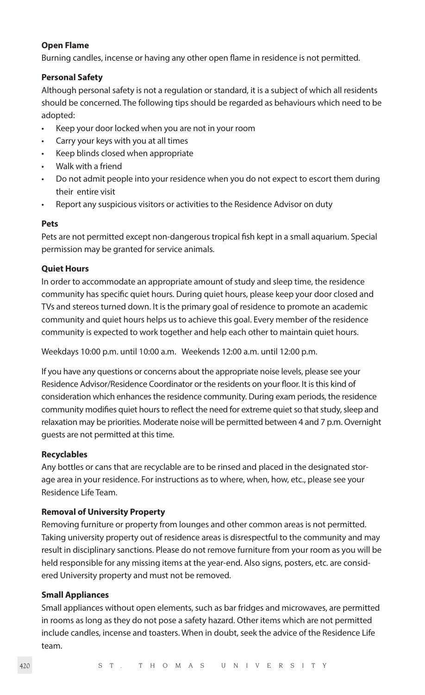#### **Open Flame**

Burning candles, incense or having any other open flame in residence is not permitted.

## **Personal Safety**

Although personal safety is not a regulation or standard, it is a subject of which all residents should be concerned. The following tips should be regarded as behaviours which need to be adopted:

- Keep your door locked when you are not in your room
- Carry your keys with you at all times
- Keep blinds closed when appropriate
- Walk with a friend
- Do not admit people into your residence when you do not expect to escort them during their entire visit
- Report any suspicious visitors or activities to the Residence Advisor on duty

# **Pets**

Pets are not permitted except non-dangerous tropical fish kept in a small aquarium. Special permission may be granted for service animals.

# **Quiet Hours**

In order to accommodate an appropriate amount of study and sleep time, the residence community has specific quiet hours. During quiet hours, please keep your door closed and TVs and stereos turned down. It is the primary goal of residence to promote an academic community and quiet hours helps us to achieve this goal. Every member of the residence community is expected to work together and help each other to maintain quiet hours.

Weekdays 10:00 p.m. until 10:00 a.m. Weekends 12:00 a.m. until 12:00 p.m.

If you have any questions or concerns about the appropriate noise levels, please see your Residence Advisor/Residence Coordinator or the residents on your floor. It is this kind of consideration which enhances the residence community. During exam periods, the residence community modifies quiet hours to reflect the need for extreme quiet so that study, sleep and relaxation may be priorities. Moderate noise will be permitted between 4 and 7 p.m. Overnight guests are not permitted at this time.

# **Recyclables**

Any bottles or cans that are recyclable are to be rinsed and placed in the designated storage area in your residence. For instructions as to where, when, how, etc., please see your Residence Life Team.

# **Removal of University Property**

Removing furniture or property from lounges and other common areas is not permitted. Taking university property out of residence areas is disrespectful to the community and may result in disciplinary sanctions. Please do not remove furniture from your room as you will be held responsible for any missing items at the year-end. Also signs, posters, etc. are considered University property and must not be removed.

#### **Small Appliances**

Small appliances without open elements, such as bar fridges and microwaves, are permitted in rooms as long as they do not pose a safety hazard. Other items which are not permitted include candles, incense and toasters. When in doubt, seek the advice of the Residence Life team.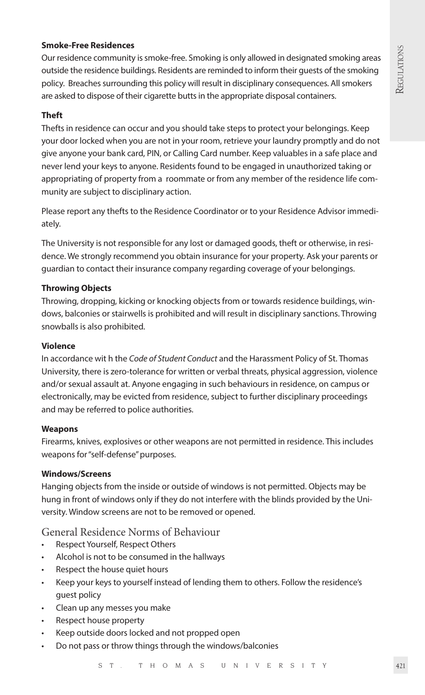# **Smoke-Free Residences**

Our residence community is smoke-free. Smoking is only allowed in designated smoking areas outside the residence buildings. Residents are reminded to inform their guests of the smoking policy. Breaches surrounding this policy will result in disciplinary consequences. All smokers are asked to dispose of their cigarette butts in the appropriate disposal containers.

#### **Theft**

Thefts in residence can occur and you should take steps to protect your belongings. Keep your door locked when you are not in your room, retrieve your laundry promptly and do not give anyone your bank card, PIN, or Calling Card number. Keep valuables in a safe place and never lend your keys to anyone. Residents found to be engaged in unauthorized taking or appropriating of property from a roommate or from any member of the residence life community are subject to disciplinary action.

Please report any thefts to the Residence Coordinator or to your Residence Advisor immediately.

The University is not responsible for any lost or damaged goods, theft or otherwise, in residence. We strongly recommend you obtain insurance for your property. Ask your parents or guardian to contact their insurance company regarding coverage of your belongings.

# **Throwing Objects**

Throwing, dropping, kicking or knocking objects from or towards residence buildings, windows, balconies or stairwells is prohibited and will result in disciplinary sanctions. Throwing snowballs is also prohibited.

## **Violence**

In accordance wit h the *Code of Student Conduct* and the Harassment Policy of St. Thomas University, there is zero-tolerance for written or verbal threats, physical aggression, violence and/or sexual assault at. Anyone engaging in such behaviours in residence, on campus or electronically, may be evicted from residence, subject to further disciplinary proceedings and may be referred to police authorities.

#### **Weapons**

Firearms, knives, explosives or other weapons are not permitted in residence. This includes weapons for "self-defense" purposes.

#### **Windows/Screens**

Hanging objects from the inside or outside of windows is not permitted. Objects may be hung in front of windows only if they do not interfere with the blinds provided by the University. Window screens are not to be removed or opened.

# General Residence Norms of Behaviour

- Respect Yourself, Respect Others
- Alcohol is not to be consumed in the hallways
- Respect the house quiet hours
- Keep your keys to yourself instead of lending them to others. Follow the residence's guest policy
- Clean up any messes you make
- Respect house property
- Keep outside doors locked and not propped open
- Do not pass or throw things through the windows/balconies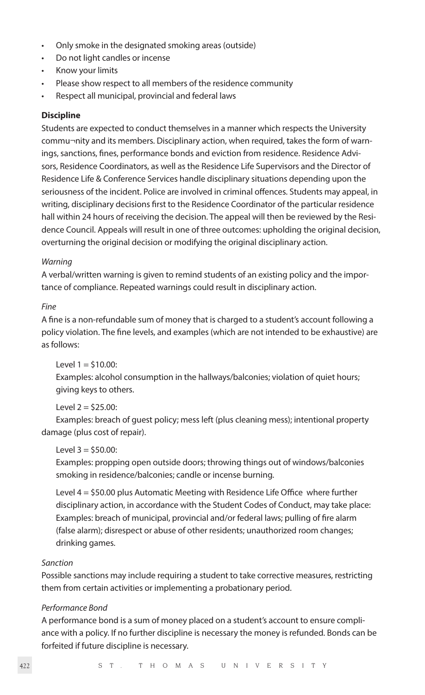- Only smoke in the designated smoking areas (outside)
- Do not light candles or incense
- Know your limits
- Please show respect to all members of the residence community
- Respect all municipal, provincial and federal laws

#### **Discipline**

Students are expected to conduct themselves in a manner which respects the University commu¬nity and its members. Disciplinary action, when required, takes the form of warnings, sanctions, fines, performance bonds and eviction from residence. Residence Advisors, Residence Coordinators, as well as the Residence Life Supervisors and the Director of Residence Life & Conference Services handle disciplinary situations depending upon the seriousness of the incident. Police are involved in criminal offences. Students may appeal, in writing, disciplinary decisions first to the Residence Coordinator of the particular residence hall within 24 hours of receiving the decision. The appeal will then be reviewed by the Residence Council. Appeals will result in one of three outcomes: upholding the original decision, overturning the original decision or modifying the original disciplinary action.

#### *Warning*

A verbal/written warning is given to remind students of an existing policy and the importance of compliance. Repeated warnings could result in disciplinary action.

#### *Fine*

A fine is a non-refundable sum of money that is charged to a student's account following a policy violation. The fine levels, and examples (which are not intended to be exhaustive) are as follows:

 $Level 1 = $10.00$ :

Examples: alcohol consumption in the hallways/balconies; violation of quiet hours; giving keys to others.

# $L = \sqrt{25.00}$

Examples: breach of guest policy; mess left (plus cleaning mess); intentional property damage (plus cost of repair).

# $Level 3 = $50.00$ :

Examples: propping open outside doors; throwing things out of windows/balconies smoking in residence/balconies; candle or incense burning.

Level 4 = \$50.00 plus Automatic Meeting with Residence Life Office where further disciplinary action, in accordance with the Student Codes of Conduct, may take place: Examples: breach of municipal, provincial and/or federal laws; pulling of fire alarm (false alarm); disrespect or abuse of other residents; unauthorized room changes; drinking games.

#### *Sanction*

Possible sanctions may include requiring a student to take corrective measures, restricting them from certain activities or implementing a probationary period.

#### *Performance Bond*

A performance bond is a sum of money placed on a student's account to ensure compliance with a policy. If no further discipline is necessary the money is refunded. Bonds can be forfeited if future discipline is necessary.